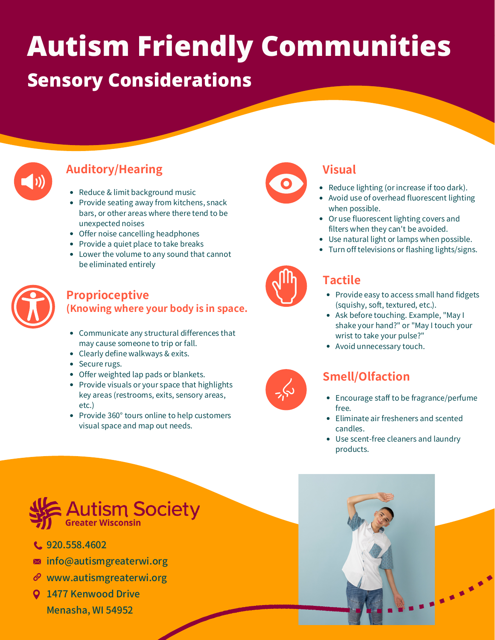# **Autism Friendly Communities**

### **Sensory Considerations**



### **Auditory/Hearing**

- Reduce & limit background music
- Provide seating away from kitchens, snack bars, or other areas where there tend to be unexpected noises
- Offer noise cancelling headphones
- Provide a quiet place to take breaks
- Lower the volume to any sound that cannot be eliminated entirely



#### **Proprioceptive (Knowing where your body is in space.**

- Communicate any structural differences that may cause someone to trip or fall.
- Clearly define walkways & exits.
- Secure rugs.
- Offer weighted lap pads or blankets.
- Provide visuals or your space that highlights key areas (restrooms, exits, sensory areas, etc.)
- Provide 360° tours online to help customers visual space and map out needs.



### **Visual**

- Reduce lighting (or increase if too dark).
- Avoid use of overhead fluorescent lighting when possible.
- Or use fluorescent lighting covers and filters when they can't be avoided.
- Use natural light or lamps when possible.
- Turn off televisions or flashing lights/signs.



### **Tactile**

- Provide easy to access small hand fidgets (squishy, soft, textured, etc.).
- Ask before touching. Example, "May I shake your hand?" or "May I touch your wrist to take your pulse?"
- Avoid unnecessary touch.

### **Smell/Olfaction**

- Encourage staff to be fragrance/perfume free.
- Eliminate air fresheners and scented candles.
- Use scent-free cleaners and laundry products.



- C. 920.558.4602
- **M** info@autismgreaterwi.org
- $\mathscr{O}$  www.autismgreaterwi.org
- **Q** 1477 Kenwood Drive Menasha, WI 54952